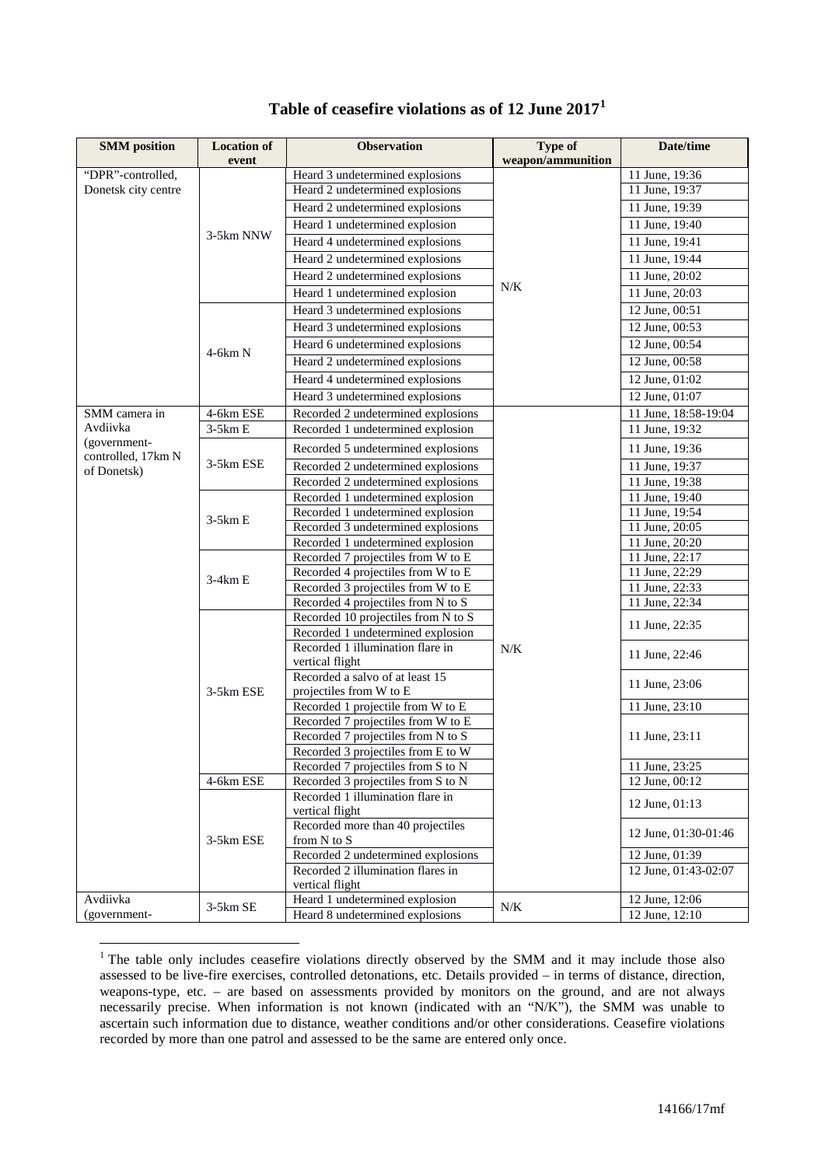| <b>SMM</b> position       | <b>Location of</b> | <b>Observation</b>                                | Type of           | Date/time                   |
|---------------------------|--------------------|---------------------------------------------------|-------------------|-----------------------------|
|                           | event              |                                                   | weapon/ammunition |                             |
| "DPR"-controlled,         |                    | Heard 3 undetermined explosions                   |                   | 11 June, 19:36              |
| Donetsk city centre       |                    | Heard 2 undetermined explosions                   |                   | 11 June, 19:37              |
|                           |                    | Heard 2 undetermined explosions                   | N/K               | 11 June, 19:39              |
|                           | 3-5km NNW          | Heard 1 undetermined explosion                    |                   | 11 June, 19:40              |
|                           |                    | Heard 4 undetermined explosions                   |                   | 11 June, 19:41              |
|                           |                    | Heard 2 undetermined explosions                   |                   | 11 June, 19:44              |
|                           |                    | Heard 2 undetermined explosions                   |                   | 11 June, 20:02              |
|                           |                    | Heard 1 undetermined explosion                    |                   | 11 June, 20:03              |
|                           |                    | Heard 3 undetermined explosions                   |                   | 12 June, 00:51              |
|                           |                    | Heard 3 undetermined explosions                   |                   | $12$ June, 00:53            |
|                           |                    | Heard 6 undetermined explosions                   |                   | 12 June, 00:54              |
|                           | $4-6km N$          | Heard 2 undetermined explosions                   |                   | 12 June, 00:58              |
|                           |                    | Heard 4 undetermined explosions                   |                   | 12 June, 01:02              |
|                           |                    | Heard 3 undetermined explosions                   |                   | 12 June, 01:07              |
|                           |                    |                                                   |                   |                             |
| SMM camera in<br>Avdiivka | 4-6km ESE          | Recorded 2 undetermined explosions                |                   | 11 June, 18:58-19:04        |
| (government-              | $3-5kmE$           | Recorded 1 undetermined explosion                 |                   | 11 June, 19:32              |
| controlled, 17km N        |                    | Recorded 5 undetermined explosions                |                   | 11 June, 19:36              |
| of Donetsk)               | 3-5km ESE          | Recorded 2 undetermined explosions                |                   | 11 June, 19:37              |
|                           |                    | Recorded 2 undetermined explosions                |                   | 11 June, 19:38              |
|                           |                    | Recorded 1 undetermined explosion                 |                   | 11 June, 19:40              |
|                           | $3-5kmE$           | Recorded 1 undetermined explosion                 |                   | 11 June, 19:54              |
|                           |                    | Recorded 3 undetermined explosions                |                   | 11 June, 20:05              |
|                           |                    | Recorded 1 undetermined explosion                 |                   | 11 June, 20:20              |
|                           |                    | Recorded 7 projectiles from W to E                |                   | 11 June, 22:17              |
|                           | 3-4km E            | Recorded 4 projectiles from W to E                |                   | 11 June, 22:29              |
|                           |                    | Recorded 3 projectiles from W to E                |                   | 11 June, 22:33              |
|                           |                    | Recorded 4 projectiles from N to S                |                   | $\overline{11}$ June, 22:34 |
|                           |                    | Recorded 10 projectiles from N to S               |                   | 11 June, 22:35              |
|                           |                    | Recorded 1 undetermined explosion                 |                   |                             |
|                           |                    | Recorded 1 illumination flare in                  | N/K               | 11 June, 22:46              |
|                           | 3-5km ESE          | vertical flight                                   |                   |                             |
|                           |                    | Recorded a salvo of at least 15                   |                   | 11 June, 23:06              |
|                           |                    | projectiles from W to E                           |                   |                             |
|                           |                    | Recorded 1 projectile from W to E                 |                   | 11 June, 23:10              |
|                           |                    | Recorded 7 projectiles from W to E                |                   |                             |
|                           |                    | Recorded 7 projectiles from N to S                |                   | 11 June, 23:11              |
|                           |                    | Recorded 3 projectiles from E to W                |                   |                             |
|                           |                    | Recorded 7 projectiles from S to N                |                   | 11 June, 23:25              |
|                           | 4-6km ESE          | Recorded 3 projectiles from S to N                |                   | 12 June, 00:12              |
|                           |                    | Recorded 1 illumination flare in                  |                   | 12 June, 01:13              |
|                           |                    | vertical flight                                   |                   |                             |
|                           | 3-5km ESE          | Recorded more than 40 projectiles                 |                   | 12 June, 01:30-01:46        |
|                           |                    | from N to S<br>Recorded 2 undetermined explosions |                   | 12 June, 01:39              |
|                           |                    | Recorded 2 illumination flares in                 |                   | 12 June, 01:43-02:07        |
|                           |                    | vertical flight                                   |                   |                             |
| Avdiivka                  |                    | Heard 1 undetermined explosion                    |                   | 12 June, 12:06              |
| (government-              | 3-5km SE           | Heard 8 undetermined explosions                   | N/K               | 12 June, 12:10              |

## **Table of ceasefire violations as of 12 June 2017[1](#page-0-0)**

<span id="page-0-0"></span><sup>&</sup>lt;sup>1</sup> The table only includes ceasefire violations directly observed by the SMM and it may include those also assessed to be live-fire exercises, controlled detonations, etc. Details provided – in terms of distance, direction, weapons-type, etc. – are based on assessments provided by monitors on the ground, and are not always necessarily precise. When information is not known (indicated with an "N/K"), the SMM was unable to ascertain such information due to distance, weather conditions and/or other considerations. Ceasefire violations recorded by more than one patrol and assessed to be the same are entered only once.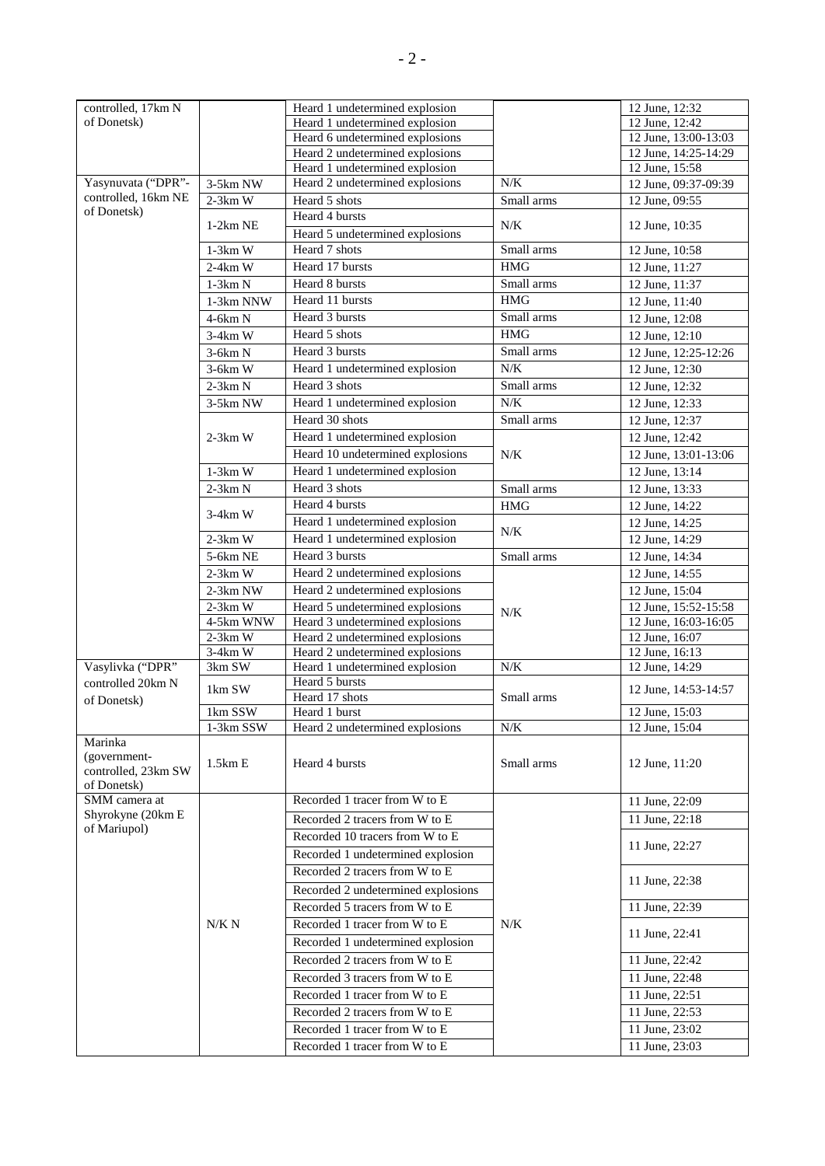| controlled, 17km N      |            | Heard 1 undetermined explosion     |            | 12 June, 12:32       |
|-------------------------|------------|------------------------------------|------------|----------------------|
| of Donetsk)             |            | Heard 1 undetermined explosion     |            | 12 June, 12:42       |
|                         |            | Heard 6 undetermined explosions    |            | 12 June, 13:00-13:03 |
|                         |            | Heard 2 undetermined explosions    |            | 12 June, 14:25-14:29 |
|                         |            | Heard 1 undetermined explosion     |            | 12 June, 15:58       |
| Yasynuvata ("DPR"-      | 3-5km NW   | Heard 2 undetermined explosions    | $N/K$      | 12 June, 09:37-09:39 |
| controlled, 16km NE     | $2-3km$ W  | Heard 5 shots                      | Small arms | 12 June, 09:55       |
| of Donetsk)             |            | Heard 4 bursts                     |            |                      |
|                         | $1-2km$ NE | Heard 5 undetermined explosions    | N/K        | 12 June, 10:35       |
|                         | $1-3km$ W  | Heard 7 shots                      | Small arms | 12 June, 10:58       |
|                         | $2-4km$ W  | Heard 17 bursts                    | <b>HMG</b> | 12 June, 11:27       |
|                         | $1-3km N$  | Heard 8 bursts                     | Small arms |                      |
|                         |            |                                    |            | 12 June, 11:37       |
|                         | 1-3km NNW  | Heard 11 bursts                    | <b>HMG</b> | 12 June, 11:40       |
|                         | 4-6km N    | Heard 3 bursts                     | Small arms | 12 June, 12:08       |
|                         | $3-4km$ W  | Heard 5 shots                      | <b>HMG</b> | 12 June, 12:10       |
|                         | $3-6km N$  | Heard 3 bursts                     | Small arms | 12 June, 12:25-12:26 |
|                         | 3-6km W    | Heard 1 undetermined explosion     | N/K        | 12 June, 12:30       |
|                         | $2-3km N$  | Heard 3 shots                      | Small arms | 12 June, 12:32       |
|                         | 3-5km NW   | Heard 1 undetermined explosion     | $N/K$      | 12 June, 12:33       |
|                         |            | Heard 30 shots                     | Small arms | 12 June, 12:37       |
|                         | $2-3km$ W  | Heard 1 undetermined explosion     |            | 12 June, 12:42       |
|                         |            | Heard 10 undetermined explosions   | $N/K$      | 12 June, 13:01-13:06 |
|                         |            | Heard 1 undetermined explosion     |            |                      |
|                         | $1-3km$ W  |                                    |            | 12 June, 13:14       |
|                         | $2-3km N$  | Heard 3 shots                      | Small arms | 12 June, 13:33       |
|                         | $3-4km$ W  | Heard 4 bursts                     | <b>HMG</b> | 12 June, 14:22       |
|                         |            | Heard 1 undetermined explosion     | N/K        | 12 June, 14:25       |
|                         | $2-3km$ W  | Heard 1 undetermined explosion     |            | 12 June, 14:29       |
|                         | 5-6km NE   | Heard 3 bursts                     | Small arms | 12 June, 14:34       |
|                         | $2-3km$ W  | Heard 2 undetermined explosions    |            | 12 June, 14:55       |
|                         | 2-3km NW   | Heard 2 undetermined explosions    |            | 12 June, 15:04       |
|                         | $2-3km$ W  | Heard 5 undetermined explosions    |            | 12 June, 15:52-15:58 |
|                         | 4-5km WNW  | Heard 3 undetermined explosions    | N/K        | 12 June, 16:03-16:05 |
|                         | $2-3km$ W  | Heard 2 undetermined explosions    |            | 12 June, 16:07       |
|                         | $3-4km$ W  | Heard 2 undetermined explosions    |            | 12 June, 16:13       |
| Vasylivka ("DPR"        | 3km SW     | Heard 1 undetermined explosion     | $N\!/\!K$  | 12 June, 14:29       |
| controlled 20km N       | 1km SW     | Heard 5 bursts                     |            | 12 June, 14:53-14:57 |
| of Donetsk)             |            | Heard 17 shots                     | Small arms |                      |
|                         | 1km SSW    | Heard 1 burst                      |            | 12 June, 15:03       |
|                         | 1-3km SSW  | Heard 2 undetermined explosions    | N/K        | 12 June, 15:04       |
| Marinka<br>(government- | 1.5kmE     | Heard 4 bursts                     | Small arms | 12 June, 11:20       |
| controlled, 23km SW     |            |                                    |            |                      |
| of Donetsk)             |            |                                    |            |                      |
| SMM camera at           |            | Recorded 1 tracer from W to E      |            | 11 June, 22:09       |
| Shyrokyne (20km E       |            | Recorded 2 tracers from W to E     |            | 11 June, 22:18       |
| of Mariupol)            |            | Recorded 10 tracers from W to E    |            |                      |
|                         |            | Recorded 1 undetermined explosion  |            | 11 June, 22:27       |
|                         |            | Recorded 2 tracers from W to E     |            |                      |
|                         |            |                                    |            | 11 June, 22:38       |
|                         |            | Recorded 2 undetermined explosions |            |                      |
|                         |            | Recorded 5 tracers from W to E     |            | 11 June, 22:39       |
|                         | N/K N      | Recorded 1 tracer from W to E      | N/K        | 11 June, 22:41       |
|                         |            | Recorded 1 undetermined explosion  |            |                      |
|                         |            | Recorded 2 tracers from W to E     |            | 11 June, 22:42       |
|                         |            | Recorded 3 tracers from W to E     |            | 11 June, 22:48       |
|                         |            | Recorded 1 tracer from W to E      |            | 11 June, 22:51       |
|                         |            | Recorded 2 tracers from W to E     |            | 11 June, 22:53       |
|                         |            | Recorded 1 tracer from W to E      |            | 11 June, 23:02       |
|                         |            | Recorded 1 tracer from W to E      |            | 11 June, 23:03       |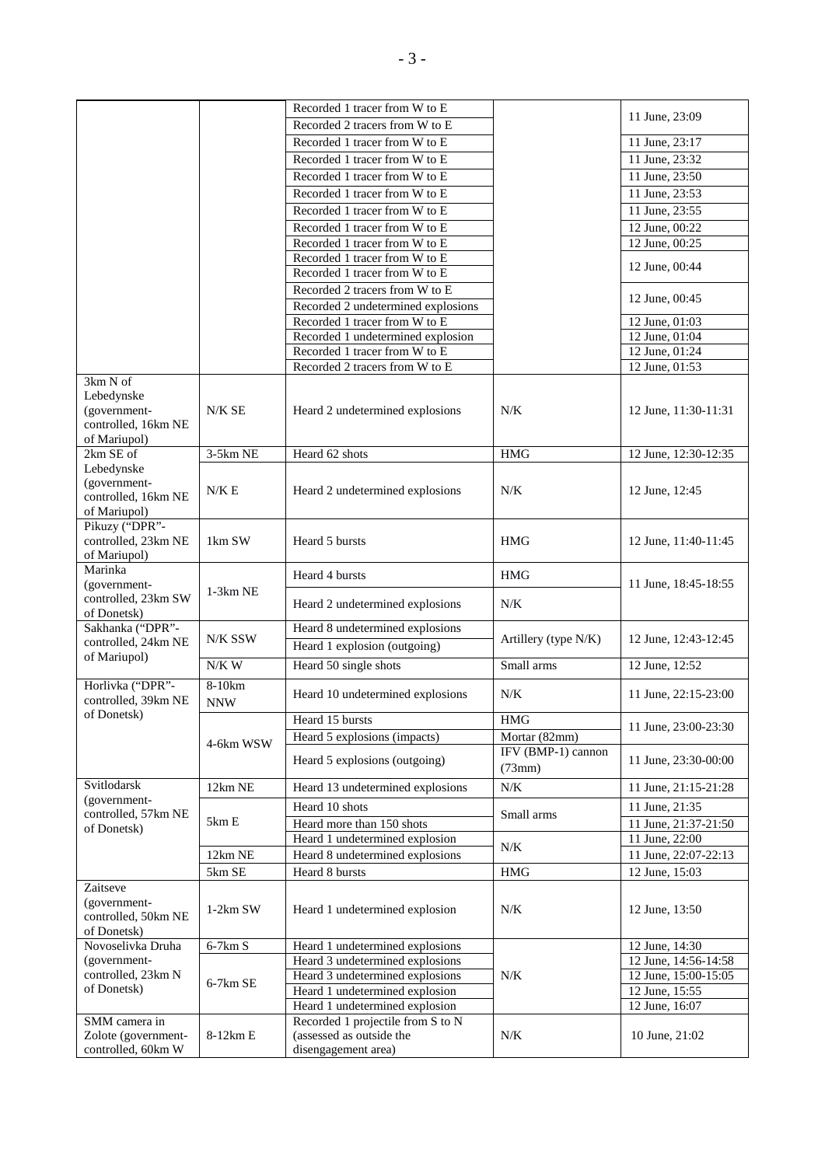|                                    |            | Recorded 1 tracer from W to E      |                      | 11 June, 23:09       |
|------------------------------------|------------|------------------------------------|----------------------|----------------------|
|                                    |            | Recorded 2 tracers from W to E     |                      |                      |
|                                    |            | Recorded 1 tracer from W to E      |                      | 11 June, 23:17       |
|                                    |            | Recorded 1 tracer from W to E      |                      | 11 June, 23:32       |
|                                    |            | Recorded 1 tracer from W to E      |                      | 11 June, 23:50       |
|                                    |            | Recorded 1 tracer from W to E      |                      | 11 June, 23:53       |
|                                    |            | Recorded 1 tracer from W to E      |                      | 11 June, 23:55       |
|                                    |            | Recorded 1 tracer from W to E      |                      | 12 June, 00:22       |
|                                    |            | Recorded 1 tracer from W to E      |                      | 12 June, 00:25       |
|                                    |            | Recorded 1 tracer from W to E      |                      |                      |
|                                    |            | Recorded 1 tracer from W to E      |                      | 12 June, 00:44       |
|                                    |            | Recorded 2 tracers from W to E     |                      |                      |
|                                    |            | Recorded 2 undetermined explosions |                      | 12 June, 00:45       |
|                                    |            | Recorded 1 tracer from W to E      |                      | 12 June, 01:03       |
|                                    |            | Recorded 1 undetermined explosion  |                      | 12 June, 01:04       |
|                                    |            | Recorded 1 tracer from W to E      |                      | 12 June, 01:24       |
|                                    |            | Recorded 2 tracers from W to E     |                      | 12 June, 01:53       |
| 3km N of                           |            |                                    |                      |                      |
| Lebedynske                         |            |                                    |                      |                      |
| (government-                       | N/K SE     | Heard 2 undetermined explosions    | N/K                  | 12 June, 11:30-11:31 |
| controlled, 16km NE                |            |                                    |                      |                      |
| of Mariupol)                       |            |                                    |                      |                      |
| 2km SE of<br>Lebedynske            | 3-5km NE   | Heard 62 shots                     | <b>HMG</b>           | 12 June, 12:30-12:35 |
| (government-                       |            |                                    |                      |                      |
| controlled, 16km NE                | N/K E      | Heard 2 undetermined explosions    | N/K                  | 12 June, 12:45       |
| of Mariupol)                       |            |                                    |                      |                      |
| Pikuzy ("DPR"-                     |            |                                    |                      |                      |
| controlled, 23km NE                | 1km SW     | Heard 5 bursts                     | <b>HMG</b>           | 12 June, 11:40-11:45 |
| of Mariupol)                       |            |                                    |                      |                      |
| Marinka                            |            | Heard 4 bursts                     | <b>HMG</b>           |                      |
| (government-                       | 1-3km NE   |                                    |                      | 11 June, 18:45-18:55 |
| controlled, 23km SW                |            | Heard 2 undetermined explosions    | N/K                  |                      |
| of Donetsk)<br>Sakhanka ("DPR"-    |            | Heard 8 undetermined explosions    |                      |                      |
| controlled, 24km NE                | N/K SSW    | Heard 1 explosion (outgoing)       | Artillery (type N/K) | 12 June, 12:43-12:45 |
| of Mariupol)                       |            |                                    |                      |                      |
|                                    | $N/K$ W    | Heard 50 single shots              | Small arms           | 12 June, 12:52       |
| Horlivka ("DPR"-                   | $8-10km$   |                                    | N/K                  | 11 June, 22:15-23:00 |
| controlled, 39km NE                | <b>NNW</b> | Heard 10 undetermined explosions   |                      |                      |
| of Donetsk)                        |            | Heard 15 bursts                    | <b>HMG</b>           | 11 June, 23:00-23:30 |
|                                    |            | Heard 5 explosions (impacts)       | Mortar (82mm)        |                      |
|                                    | 4-6km WSW  |                                    | IFV (BMP-1) cannon   |                      |
|                                    |            | Heard 5 explosions (outgoing)      | (73mm)               | 11 June, 23:30-00:00 |
| Svitlodarsk                        | 12km NE    | Heard 13 undetermined explosions   | N/K                  | 11 June, 21:15-21:28 |
| (government-                       |            |                                    |                      |                      |
| controlled, 57km NE                |            | Heard 10 shots                     | Small arms           | 11 June, 21:35       |
| of Donetsk)                        | 5km E      | Heard more than 150 shots          |                      | 11 June, 21:37-21:50 |
|                                    |            | Heard 1 undetermined explosion     | N/K                  | 11 June, 22:00       |
|                                    | 12km NE    | Heard 8 undetermined explosions    |                      | 11 June, 22:07-22:13 |
|                                    | 5km SE     | Heard 8 bursts                     | $\rm HMG$            | 12 June, 15:03       |
| Zaitseve                           |            |                                    |                      |                      |
| (government-                       | $1-2km$ SW | Heard 1 undetermined explosion     | N/K                  | 12 June, 13:50       |
| controlled, 50km NE<br>of Donetsk) |            |                                    |                      |                      |
| Novoselivka Druha                  | $6-7km S$  | Heard 1 undetermined explosions    |                      | 12 June, 14:30       |
| (government-                       |            | Heard 3 undetermined explosions    |                      | 12 June, 14:56-14:58 |
| controlled, 23km N                 |            | Heard 3 undetermined explosions    | N/K                  | 12 June, 15:00-15:05 |
| of Donetsk)                        | 6-7km SE   | Heard 1 undetermined explosion     |                      | 12 June, 15:55       |
|                                    |            | Heard 1 undetermined explosion     |                      | 12 June, 16:07       |
| SMM camera in                      |            | Recorded 1 projectile from S to N  |                      |                      |
| Zolote (government-                | 8-12km E   | (assessed as outside the           | N/K                  | 10 June, 21:02       |
| controlled, 60km W                 |            | disengagement area)                |                      |                      |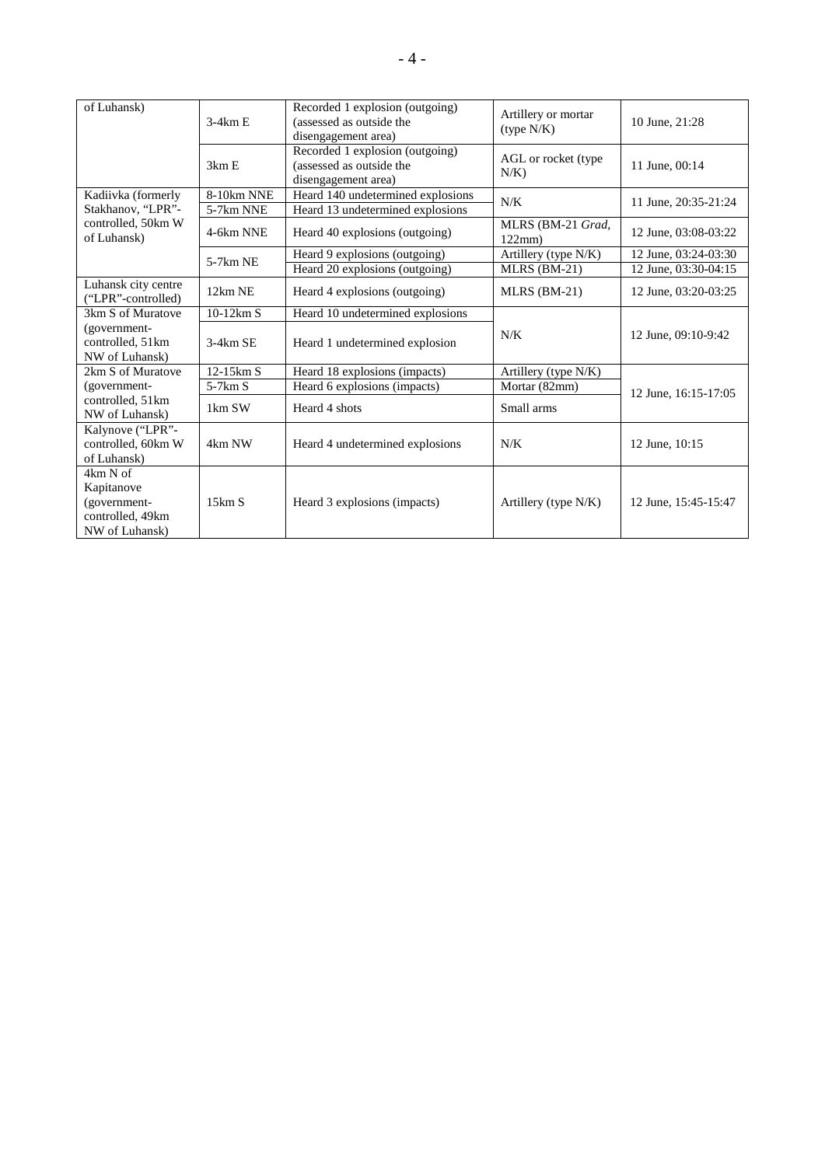| of Luhansk)                                                                  | $3-4kmE$    | Recorded 1 explosion (outgoing)<br>(assessed as outside the<br>disengagement area) | Artillery or mortar<br>(type N/K) | 10 June, 21:28       |
|------------------------------------------------------------------------------|-------------|------------------------------------------------------------------------------------|-----------------------------------|----------------------|
|                                                                              | 3km E       | Recorded 1 explosion (outgoing)<br>(assessed as outside the<br>disengagement area) | AGL or rocket (type<br>$N/K$ )    | 11 June, 00:14       |
| Kadiivka (formerly                                                           | 8-10km NNE  | Heard 140 undetermined explosions                                                  |                                   |                      |
| Stakhanov, "LPR"-                                                            | 5-7km NNE   | Heard 13 undetermined explosions                                                   | N/K                               | 11 June, 20:35-21:24 |
| controlled, 50km W<br>of Luhansk)                                            | 4-6km NNE   | Heard 40 explosions (outgoing)                                                     | MLRS (BM-21 Grad,<br>122mm        | 12 June, 03:08-03:22 |
|                                                                              | $5-7km$ NE  | Heard 9 explosions (outgoing)                                                      | Artillery (type N/K)              | 12 June, 03:24-03:30 |
|                                                                              |             | Heard 20 explosions (outgoing)                                                     | MLRS (BM-21)                      | 12 June, 03:30-04:15 |
| Luhansk city centre<br>("LPR"-controlled)                                    | 12km NE     | Heard 4 explosions (outgoing)                                                      | $MLRS$ (BM-21)                    | 12 June, 03:20-03:25 |
| 3km S of Muratove                                                            | $10-12km S$ | Heard 10 undetermined explosions                                                   |                                   |                      |
| (government-<br>controlled, 51km<br>NW of Luhansk)                           | 3-4km SE    | Heard 1 undetermined explosion                                                     | N/K                               | 12 June, 09:10-9:42  |
| 2km S of Muratove                                                            | $12-15km S$ | Heard 18 explosions (impacts)                                                      | Artillery (type N/K)              |                      |
| (government-                                                                 | $5-7km S$   | Heard 6 explosions (impacts)                                                       | Mortar (82mm)                     | 12 June, 16:15-17:05 |
| controlled, 51km<br>NW of Luhansk)                                           | 1km SW      | Heard 4 shots                                                                      | Small arms                        |                      |
| Kalynove ("LPR"-<br>controlled, 60km W<br>of Luhansk)                        | 4km NW      | Heard 4 undetermined explosions                                                    | N/K                               | 12 June, 10:15       |
| 4km N of<br>Kapitanove<br>(government-<br>controlled, 49km<br>NW of Luhansk) | 15km S      | Heard 3 explosions (impacts)                                                       | Artillery (type N/K)              | 12 June, 15:45-15:47 |